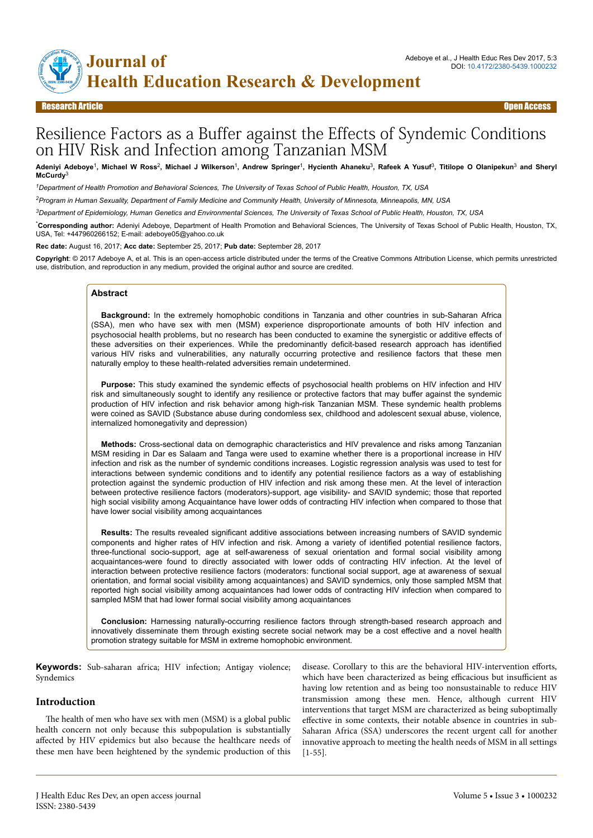

**CONTRACTOR SERVICE CONTRACTOR ISSN: 2380-5439 Journal of Health Education Research & Development**

# Resilience Factors as a Buffer against the Effects of Syndemic Conditions on HIV Risk and Infection among Tanzanian MSM

Adeniyi Adeboye<sup>1</sup>, Michael W Ross<sup>2</sup>, Michael J Wilkerson<sup>1</sup>, Andrew Springer<sup>1</sup>, Hycienth Ahaneku<sup>3</sup>, Rafeek A Yusuf<sup>3</sup>, Titilope O Olanipekun<sup>3</sup> and Sheryl **McCurdy**<sup>3</sup>

*<sup>1</sup>Department of Health Promotion and Behavioral Sciences, The University of Texas School of Public Health, Houston, TX, USA*

*<sup>2</sup>Program in Human Sexuality, Department of Family Medicine and Community Health, University of Minnesota, Minneapolis, MN, USA*

*<sup>3</sup>Department of Epidemiology, Human Genetics and Environmental Sciences, The University of Texas School of Public Health, Houston, TX, USA*

\***Corresponding author:** Adeniyi Adeboye, Department of Health Promotion and Behavioral Sciences, The University of Texas School of Public Health, Houston, TX, USA, Tel: +447960266152; E-mail: adeboye05@yahoo.co.uk

**Rec date:** August 16, 2017; **Acc date:** September 25, 2017; **Pub date:** September 28, 2017

**Copyright**: © 2017 Adeboye A, et al. This is an open-access article distributed under the terms of the Creative Commons Attribution License, which permits unrestricted use, distribution, and reproduction in any medium, provided the original author and source are credited.

#### **Abstract**

**Background:** In the extremely homophobic conditions in Tanzania and other countries in sub-Saharan Africa (SSA), men who have sex with men (MSM) experience disproportionate amounts of both HIV infection and psychosocial health problems, but no research has been conducted to examine the synergistic or additive effects of these adversities on their experiences. While the predominantly deficit-based research approach has identified various HIV risks and vulnerabilities, any naturally occurring protective and resilience factors that these men naturally employ to these health-related adversities remain undetermined.

**Purpose:** This study examined the syndemic effects of psychosocial health problems on HIV infection and HIV risk and simultaneously sought to identify any resilience or protective factors that may buffer against the syndemic production of HIV infection and risk behavior among high-risk Tanzanian MSM. These syndemic health problems were coined as SAVID (Substance abuse during condomless sex, childhood and adolescent sexual abuse, violence, internalized homonegativity and depression)

**Methods:** Cross-sectional data on demographic characteristics and HIV prevalence and risks among Tanzanian MSM residing in Dar es Salaam and Tanga were used to examine whether there is a proportional increase in HIV infection and risk as the number of syndemic conditions increases. Logistic regression analysis was used to test for interactions between syndemic conditions and to identify any potential resilience factors as a way of establishing protection against the syndemic production of HIV infection and risk among these men. At the level of interaction between protective resilience factors (moderators)-support, age visibility- and SAVID syndemic; those that reported high social visibility among Acquaintance have lower odds of contracting HIV infection when compared to those that have lower social visibility among acquaintances

**Results:** The results revealed significant additive associations between increasing numbers of SAVID syndemic components and higher rates of HIV infection and risk. Among a variety of identified potential resilience factors, three-functional socio-support, age at self-awareness of sexual orientation and formal social visibility among acquaintances-were found to directly associated with lower odds of contracting HIV infection. At the level of interaction between protective resilience factors (moderators: functional social support, age at awareness of sexual orientation, and formal social visibility among acquaintances) and SAVID syndemics, only those sampled MSM that reported high social visibility among acquaintances had lower odds of contracting HIV infection when compared to sampled MSM that had lower formal social visibility among acquaintances

**Conclusion:** Harnessing naturally-occurring resilience factors through strength-based research approach and innovatively disseminate them through existing secrete social network may be a cost effective and a novel health promotion strategy suitable for MSM in extreme homophobic environment.

**Keywords:** Sub-saharan africa; HIV infection; Antigay violence; Syndemics

#### **Introduction**

The health of men who have sex with men (MSM) is a global public health concern not only because this subpopulation is substantially affected by HIV epidemics but also because the healthcare needs of these men have been heightened by the syndemic production of this

disease. Corollary to this are the behavioral HIV-intervention efforts, which have been characterized as being efficacious but insufficient as having low retention and as being too nonsustainable to reduce HIV transmission among these men. Hence, although current HIV interventions that target MSM are characterized as being suboptimally effective in some contexts, their notable absence in countries in sub-Saharan Africa (SSA) underscores the recent urgent call for another innovative approach to meeting the health needs of MSM in all settings [1-55].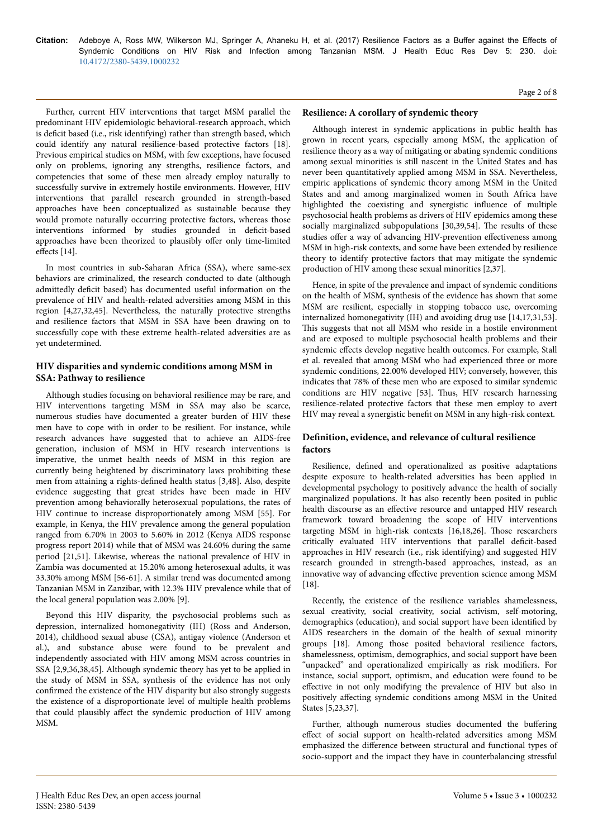Page 2 of 8

Further, current HIV interventions that target MSM parallel the predominant HIV epidemiologic behavioral-research approach, which is deficit based (i.e., risk identifying) rather than strength based, which could identify any natural resilience-based protective factors [18]. Previous empirical studies on MSM, with few exceptions, have focused only on problems, ignoring any strengths, resilience factors, and competencies that some of these men already employ naturally to successfully survive in extremely hostile environments. However, HIV interventions that parallel research grounded in strength-based approaches have been conceptualized as sustainable because they would promote naturally occurring protective factors, whereas those interventions informed by studies grounded in deficit-based approaches have been theorized to plausibly offer only time-limited effects  $[14]$ .

In most countries in sub-Saharan Africa (SSA), where same-sex behaviors are criminalized, the research conducted to date (although admittedly deficit based) has documented useful information on the prevalence of HIV and health-related adversities among MSM in this region [4,27,32,45]. Nevertheless, the naturally protective strengths and resilience factors that MSM in SSA have been drawing on to successfully cope with these extreme health-related adversities are as yet undetermined.

## **HIV disparities and syndemic conditions among MSM in SSA: Pathway to resilience**

Although studies focusing on behavioral resilience may be rare, and HIV interventions targeting MSM in SSA may also be scarce, numerous studies have documented a greater burden of HIV these men have to cope with in order to be resilient. For instance, while research advances have suggested that to achieve an AIDS-free generation, inclusion of MSM in HIV research interventions is imperative, the unmet health needs of MSM in this region are currently being heightened by discriminatory laws prohibiting these men from attaining a rights-defined health status [3,48]. Also, despite evidence suggesting that great strides have been made in HIV prevention among behaviorally heterosexual populations, the rates of HIV continue to increase disproportionately among MSM [55]. For example, in Kenya, the HIV prevalence among the general population ranged from 6.70% in 2003 to 5.60% in 2012 (Kenya AIDS response progress report 2014) while that of MSM was 24.60% during the same period [21,51]. Likewise, whereas the national prevalence of HIV in Zambia was documented at 15.20% among heterosexual adults, it was 33.30% among MSM [56-61]. A similar trend was documented among Tanzanian MSM in Zanzibar, with 12.3% HIV prevalence while that of the local general population was 2.00% [9].

Beyond this HIV disparity, the psychosocial problems such as depression, internalized homonegativity (IH) (Ross and Anderson, 2014), childhood sexual abuse (CSA), antigay violence (Anderson et al.), and substance abuse were found to be prevalent and independently associated with HIV among MSM across countries in SSA [2,9,36,38,45]. Although syndemic theory has yet to be applied in the study of MSM in SSA, synthesis of the evidence has not only confirmed the existence of the HIV disparity but also strongly suggests the existence of a disproportionate level of multiple health problems that could plausibly affect the syndemic production of HIV among MSM.

## **Resilience: A corollary of syndemic theory**

Although interest in syndemic applications in public health has grown in recent years, especially among MSM, the application of resilience theory as a way of mitigating or abating syndemic conditions among sexual minorities is still nascent in the United States and has never been quantitatively applied among MSM in SSA. Nevertheless, empiric applications of syndemic theory among MSM in the United States and and among marginalized women in South Africa have highlighted the coexisting and synergistic influence of multiple psychosocial health problems as drivers of HIV epidemics among these socially marginalized subpopulations [30,39,54]. The results of these studies offer a way of advancing HIV-prevention effectiveness among MSM in high-risk contexts, and some have been extended by resilience theory to identify protective factors that may mitigate the syndemic production of HIV among these sexual minorities [2,37].

Hence, in spite of the prevalence and impact of syndemic conditions on the health of MSM, synthesis of the evidence has shown that some MSM are resilient, especially in stopping tobacco use, overcoming internalized homonegativity (IH) and avoiding drug use [14,17,31,53]. This suggests that not all MSM who reside in a hostile environment and are exposed to multiple psychosocial health problems and their syndemic effects develop negative health outcomes. For example, Stall et al. revealed that among MSM who had experienced three or more syndemic conditions, 22.00% developed HIV; conversely, however, this indicates that 78% of these men who are exposed to similar syndemic conditions are HIV negative [53]. Thus, HIV research harnessing resilience-related protective factors that these men employ to avert HIV may reveal a synergistic benefit on MSM in any high-risk context.

## Definition, evidence, and relevance of cultural resilience **factors**

Resilience, defined and operationalized as positive adaptations despite exposure to health-related adversities has been applied in developmental psychology to positively advance the health of socially marginalized populations. It has also recently been posited in public health discourse as an effective resource and untapped HIV research framework toward broadening the scope of HIV interventions targeting MSM in high-risk contexts [16,18,26]. Нose researchers critically evaluated HIV interventions that parallel deficit-based approaches in HIV research (i.e., risk identifying) and suggested HIV research grounded in strength-based approaches, instead, as an innovative way of advancing effective prevention science among MSM [18].

Recently, the existence of the resilience variables shamelessness, sexual creativity, social creativity, social activism, self-motoring, demographics (education), and social support have been identified by AIDS researchers in the domain of the health of sexual minority groups [18]. Among those posited behavioral resilience factors, shamelessness, optimism, demographics, and social support have been "unpacked" and operationalized empirically as risk modifiers. For instance, social support, optimism, and education were found to be effective in not only modifying the prevalence of HIV but also in positively affecting syndemic conditions among MSM in the United States [5,23,37].

Further, although numerous studies documented the buffering effect of social support on health-related adversities among MSM emphasized the difference between structural and functional types of socio-support and the impact they have in counterbalancing stressful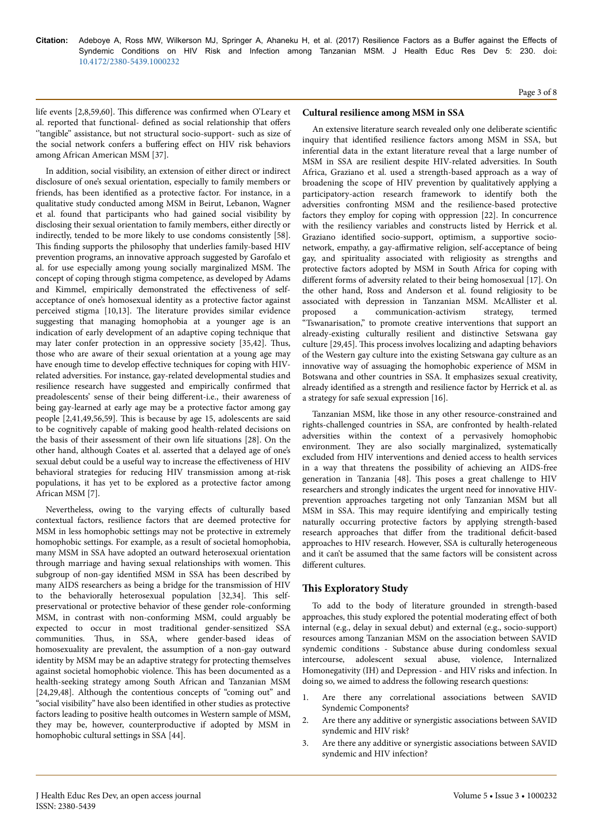#### Page 3 of 8

life events  $[2,8,59,60]$ . This difference was confirmed when O'Leary et al. reported that functional- defined as social relationship that offers "tangible" assistance, but not structural socio-support- such as size of the social network confers a buffering effect on HIV risk behaviors among African American MSM [37].

In addition, social visibility, an extension of either direct or indirect disclosure of one's sexual orientation, especially to family members or friends, has been identified as a protective factor. For instance, in a qualitative study conducted among MSM in Beirut, Lebanon, Wagner et al. found that participants who had gained social visibility by disclosing their sexual orientation to family members, either directly or indirectly, tended to be more likely to use condoms consistently [58]. This finding supports the philosophy that underlies family-based HIV prevention programs, an innovative approach suggested by Garofalo et al. for use especially among young socially marginalized MSM. Нe concept of coping through stigma competence, as developed by Adams and Kimmel, empirically demonstrated the effectiveness of selfacceptance of one's homosexual identity as a protective factor against perceived stigma [10,13]. Нe literature provides similar evidence suggesting that managing homophobia at a younger age is an indication of early development of an adaptive coping technique that may later confer protection in an oppressive society [35,42]. Нus, those who are aware of their sexual orientation at a young age may have enough time to develop effective techniques for coping with HIVrelated adversities. For instance, gay-related developmental studies and resilience research have suggested and empirically confirmed that preadolescents' sense of their being different-i.e., their awareness of being gay-learned at early age may be a protective factor among gay people [2,41,49,56,59]. Нis is because by age 15, adolescents are said to be cognitively capable of making good health-related decisions on the basis of their assessment of their own life situations [28]. On the other hand, although Coates et al. asserted that a delayed age of one's sexual debut could be a useful way to increase the effectiveness of HIV behavioral strategies for reducing HIV transmission among at-risk populations, it has yet to be explored as a protective factor among African MSM [7].

Nevertheless, owing to the varying effects of culturally based contextual factors, resilience factors that are deemed protective for MSM in less homophobic settings may not be protective in extremely homophobic settings. For example, as a result of societal homophobia, many MSM in SSA have adopted an outward heterosexual orientation through marriage and having sexual relationships with women. Нis subgroup of non-gay identified MSM in SSA has been described by many AIDS researchers as being a bridge for the transmission of HIV to the behaviorally heterosexual population [32,34]. Нis selfpreservational or protective behavior of these gender role-conforming MSM, in contrast with non-conforming MSM, could arguably be expected to occur in most traditional gender-sensitized SSA communities. Нus, in SSA, where gender-based ideas of homosexuality are prevalent, the assumption of a non-gay outward identity by MSM may be an adaptive strategy for protecting themselves against societal homophobic violence. Нis has been documented as a health-seeking strategy among South African and Tanzanian MSM [24,29,48]. Although the contentious concepts of "coming out" and "social visibility" have also been identified in other studies as protective factors leading to positive health outcomes in Western sample of MSM, they may be, however, counterproductive if adopted by MSM in homophobic cultural settings in SSA [44].

#### **Cultural resilience among MSM in SSA**

An extensive literature search revealed only one deliberate scientific inquiry that identified resilience factors among MSM in SSA, but inferential data in the extant literature reveal that a large number of MSM in SSA are resilient despite HIV-related adversities. In South Africa, Graziano et al. used a strength-based approach as a way of broadening the scope of HIV prevention by qualitatively applying a participatory-action research framework to identify both the adversities confronting MSM and the resilience-based protective factors they employ for coping with oppression [22]. In concurrence with the resiliency variables and constructs listed by Herrick et al. Graziano identified socio-support, optimism, a supportive socionetwork, empathy, a gay-affirmative religion, self-acceptance of being gay, and spirituality associated with religiosity as strengths and protective factors adopted by MSM in South Africa for coping with different forms of adversity related to their being homosexual [17]. On the other hand, Ross and Anderson et al. found religiosity to be associated with depression in Tanzanian MSM. McAllister et al. proposed a communication-activism strategy, termed "Tswanarisation," to promote creative interventions that support an already-existing culturally resilient and distinctive Setswana gay culture [29,45]. Нis process involves localizing and adapting behaviors of the Western gay culture into the existing Setswana gay culture as an innovative way of assuaging the homophobic experience of MSM in Botswana and other countries in SSA. It emphasizes sexual creativity, already identified as a strength and resilience factor by Herrick et al. as a strategy for safe sexual expression [16].

Tanzanian MSM, like those in any other resource-constrained and rights-challenged countries in SSA, are confronted by health-related adversities within the context of a pervasively homophobic environment. They are also socially marginalized, systematically excluded from HIV interventions and denied access to health services in a way that threatens the possibility of achieving an AIDS-free generation in Tanzania [48]. Нis poses a great challenge to HIV researchers and strongly indicates the urgent need for innovative HIVprevention approaches targeting not only Tanzanian MSM but all MSM in SSA. Нis may require identifying and empirically testing naturally occurring protective factors by applying strength-based research approaches that differ from the traditional deficit-based approaches to HIV research. However, SSA is culturally heterogeneous and it can't be assumed that the same factors will be consistent across different cultures.

#### **This Exploratory Study**

To add to the body of literature grounded in strength-based approaches, this study explored the potential moderating effect of both internal (e.g., delay in sexual debut) and external (e.g., socio-support) resources among Tanzanian MSM on the association between SAVID syndemic conditions - Substance abuse during condomless sexual intercourse, adolescent sexual abuse, violence, Internalized Homonegativity (IH) and Depression - and HIV risks and infection. In doing so, we aimed to address the following research questions:

- 1. Are there any correlational associations between SAVID Syndemic Components?
- Are there any additive or synergistic associations between SAVID syndemic and HIV risk?
- 3. Are there any additive or synergistic associations between SAVID syndemic and HIV infection?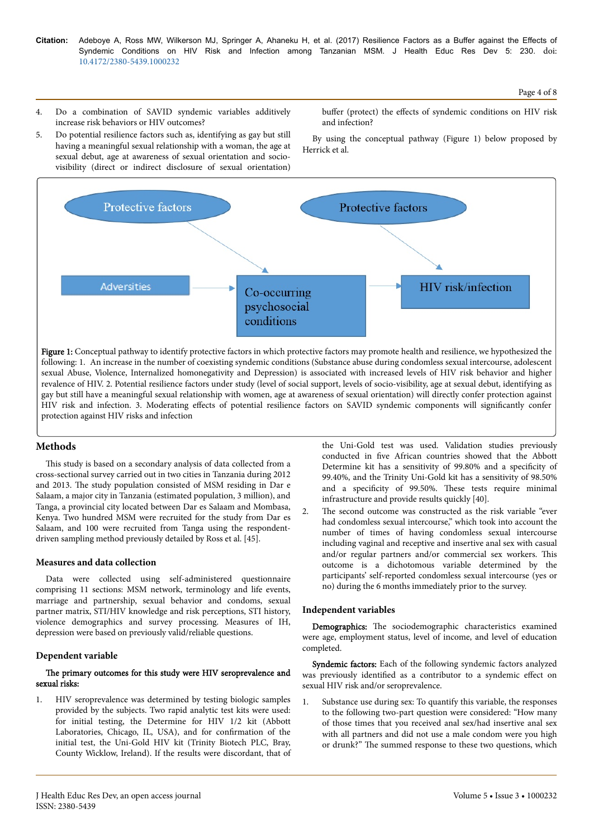4. Do a combination of SAVID syndemic variables additively increase risk behaviors or HIV outcomes?

buffer (protect) the effects of syndemic conditions on HIV risk and infection?

5. Do potential resilience factors such as, identifying as gay but still having a meaningful sexual relationship with a woman, the age at sexual debut, age at awareness of sexual orientation and sociovisibility (direct or indirect disclosure of sexual orientation)

By using the conceptual pathway (Figure 1) below proposed by Herrick et al.



Figure 1: Conceptual pathway to identify protective factors in which protective factors may promote health and resilience, we hypothesized the following: 1. An increase in the number of coexisting syndemic conditions (Substance abuse during condomless sexual intercourse, adolescent sexual Abuse, Violence, Internalized homonegativity and Depression) is associated with increased levels of HIV risk behavior and higher revalence of HIV. 2. Potential resilience factors under study (level of social support, levels of socio-visibility, age at sexual debut, identifying as gay but still have a meaningful sexual relationship with women, age at awareness of sexual orientation) will directly confer protection against HIV risk and infection. 3. Moderating effects of potential resilience factors on SAVID syndemic components will significantly confer protection against HIV risks and infection

## **Methods**

This study is based on a secondary analysis of data collected from a cross-sectional survey carried out in two cities in Tanzania during 2012 and 2013. Нe study population consisted of MSM residing in Dar e Salaam, a major city in Tanzania (estimated population, 3 million), and Tanga, a provincial city located between Dar es Salaam and Mombasa, Kenya. Two hundred MSM were recruited for the study from Dar es Salaam, and 100 were recruited from Tanga using the respondentdriven sampling method previously detailed by Ross et al. [45].

## **Measures and data collection**

Data were collected using self-administered questionnaire comprising 11 sections: MSM network, terminology and life events, marriage and partnership, sexual behavior and condoms, sexual partner matrix, STI/HIV knowledge and risk perceptions, STI history, violence demographics and survey processing. Measures of IH, depression were based on previously valid/reliable questions.

## **Dependent variable**

## The primary outcomes for this study were HIV seroprevalence and sexual risks:

1. HIV seroprevalence was determined by testing biologic samples provided by the subjects. Two rapid analytic test kits were used: for initial testing, the Determine for HIV 1/2 kit (Abbott Laboratories, Chicago, IL, USA), and for confirmation of the initial test, the Uni-Gold HIV kit (Trinity Biotech PLC, Bray, County Wicklow, Ireland). If the results were discordant, that of

the Uni-Gold test was used. Validation studies previously conducted in five African countries showed that the Abbott Determine kit has a sensitivity of 99.80% and a specificity of 99.40%, and the Trinity Uni-Gold kit has a sensitivity of 98.50% and a specificity of 99.50%. These tests require minimal infrastructure and provide results quickly [40].

2. The second outcome was constructed as the risk variable "ever had condomless sexual intercourse," which took into account the number of times of having condomless sexual intercourse including vaginal and receptive and insertive anal sex with casual and/or regular partners and/or commercial sex workers. Нis outcome is a dichotomous variable determined by the participants' self-reported condomless sexual intercourse (yes or no) during the 6 months immediately prior to the survey.

## **Independent variables**

Demographics: Нe sociodemographic characteristics examined were age, employment status, level of income, and level of education completed.

Syndemic factors: Each of the following syndemic factors analyzed was previously identified as a contributor to a syndemic effect on sexual HIV risk and/or seroprevalence.

1. Substance use during sex: To quantify this variable, the responses to the following two-part question were considered: "How many of those times that you received anal sex/had insertive anal sex with all partners and did not use a male condom were you high or drunk?" Нe summed response to these two questions, which

Page 4 of 8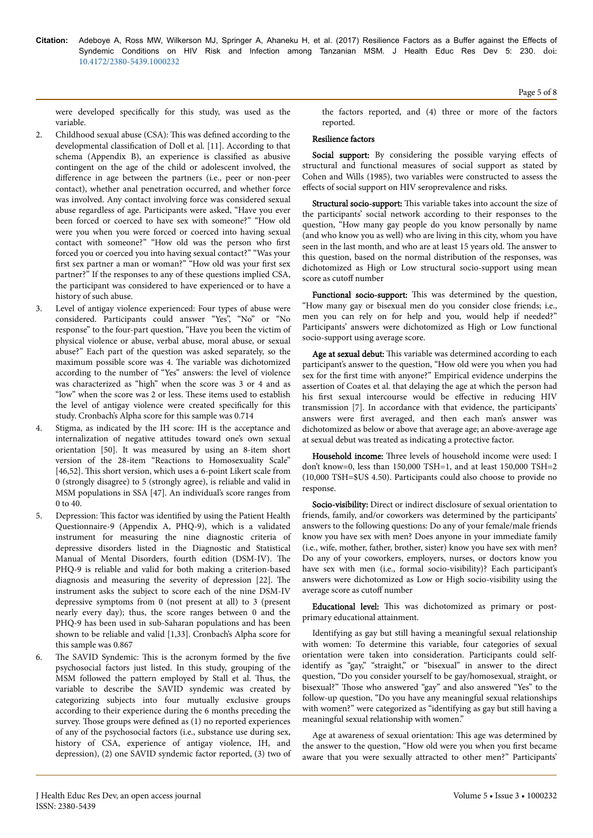were developed specifically for this study, was used as the variable.

- 2. Childhood sexual abuse (CSA): Нis was defined according to the developmental classification of Doll et al. [11]. According to that schema (Appendix B), an experience is classified as abusive contingent on the age of the child or adolescent involved, the difference in age between the partners (i.e., peer or non-peer contact), whether anal penetration occurred, and whether force was involved. Any contact involving force was considered sexual abuse regardless of age. Participants were asked, "Have you ever been forced or coerced to have sex with someone?" "How old were you when you were forced or coerced into having sexual contact with someone?" "How old was the person who first forced you or coerced you into having sexual contact?" "Was your first sex partner a man or woman?" "How old was your first sex partner?" If the responses to any of these questions implied CSA, the participant was considered to have experienced or to have a history of such abuse.
- 3. Level of antigay violence experienced: Four types of abuse were considered. Participants could answer "Yes", "No" or "No response" to the four-part question, "Have you been the victim of physical violence or abuse, verbal abuse, moral abuse, or sexual abuse?" Each part of the question was asked separately, so the maximum possible score was 4. Нe variable was dichotomized according to the number of "Yes" answers: the level of violence was characterized as "high" when the score was 3 or 4 and as "low" when the score was 2 or less. Нese items used to establish the level of antigay violence were created specifically for this study. Cronbach's Alpha score for this sample was 0.714
- 4. Stigma, as indicated by the IH score: IH is the acceptance and internalization of negative attitudes toward one's own sexual orientation [50]. It was measured by using an 8-item short version of the 28-item "Reactions to Homosexuality Scale" [46,52]. This short version, which uses a 6-point Likert scale from 0 (strongly disagree) to 5 (strongly agree), is reliable and valid in MSM populations in SSA [47]. An individual's score ranges from 0 to 40.
- 5. Depression: Нis factor was identified by using the Patient Health Questionnaire-9 (Appendix A, PHQ-9), which is a validated instrument for measuring the nine diagnostic criteria of depressive disorders listed in the Diagnostic and Statistical Manual of Mental Disorders, fourth edition (DSM-IV). Нe PHQ-9 is reliable and valid for both making a criterion-based diagnosis and measuring the severity of depression [22]. Нe instrument asks the subject to score each of the nine DSM-IV depressive symptoms from 0 (not present at all) to 3 (present nearly every day); thus, the score ranges between 0 and the PHQ-9 has been used in sub-Saharan populations and has been shown to be reliable and valid [1,33]. Cronbach's Alpha score for this sample was 0.867
- 6. Нe SAVID Syndemic: Нis is the acronym formed by the five psychosocial factors just listed. In this study, grouping of the MSM followed the pattern employed by Stall et al. Нus, the variable to describe the SAVID syndemic was created by categorizing subjects into four mutually exclusive groups according to their experience during the 6 months preceding the survey. Нose groups were defined as (1) no reported experiences of any of the psychosocial factors (i.e., substance use during sex, history of CSA, experience of antigay violence, IH, and depression), (2) one SAVID syndemic factor reported, (3) two of

the factors reported, and (4) three or more of the factors reported.

#### Resilience factors

Social support: By considering the possible varying effects of structural and functional measures of social support as stated by Cohen and Wills (1985), two variables were constructed to assess the effects of social support on HIV seroprevalence and risks.

Structural socio-support: This variable takes into account the size of the participants' social network according to their responses to the question, "How many gay people do you know personally by name (and who know you as well) who are living in this city, whom you have seen in the last month, and who are at least 15 years old. Нe answer to this question, based on the normal distribution of the responses, was dichotomized as High or Low structural socio-support using mean score as cutoff number

Functional socio-support: This was determined by the question, "How many gay or bisexual men do you consider close friends; i.e., men you can rely on for help and you, would help if needed?" Participants' answers were dichotomized as High or Low functional socio-support using average score.

Age at sexual debut: This variable was determined according to each participant's answer to the question, "How old were you when you had sex for the first time with anyone?" Empirical evidence underpins the assertion of Coates et al. that delaying the age at which the person had his first sexual intercourse would be effective in reducing HIV transmission [7]. In accordance with that evidence, the participants' answers were first averaged, and then each man's answer was dichotomized as below or above that average age; an above-average age at sexual debut was treated as indicating a protective factor.

Household income: Three levels of household income were used: I don't know=0, less than  $150,000$  TSH=1, and at least  $150,000$  TSH=2 (10,000 TSH=\$US 4.50). Participants could also choose to provide no response.

Socio-visibility: Direct or indirect disclosure of sexual orientation to friends, family, and/or coworkers was determined by the participants' answers to the following questions: Do any of your female/male friends know you have sex with men? Does anyone in your immediate family (i.e., wife, mother, father, brother, sister) know you have sex with men? Do any of your coworkers, employers, nurses, or doctors know you have sex with men (i.e., formal socio-visibility)? Each participant's answers were dichotomized as Low or High socio-visibility using the average score as cutoff number

Educational level: Нis was dichotomized as primary or postprimary educational attainment.

Identifying as gay but still having a meaningful sexual relationship with women: To determine this variable, four categories of sexual orientation were taken into consideration. Participants could selfidentify as "gay," "straight," or "bisexual" in answer to the direct question, "Do you consider yourself to be gay/homosexual, straight, or bisexual?" Нose who answered "gay" and also answered "Yes" to the follow-up question, "Do you have any meaningful sexual relationships with women?" were categorized as "identifying as gay but still having a meaningful sexual relationship with women."

Age at awareness of sexual orientation: Нis age was determined by the answer to the question, "How old were you when you first became aware that you were sexually attracted to other men?" Participants'

Page 5 of 8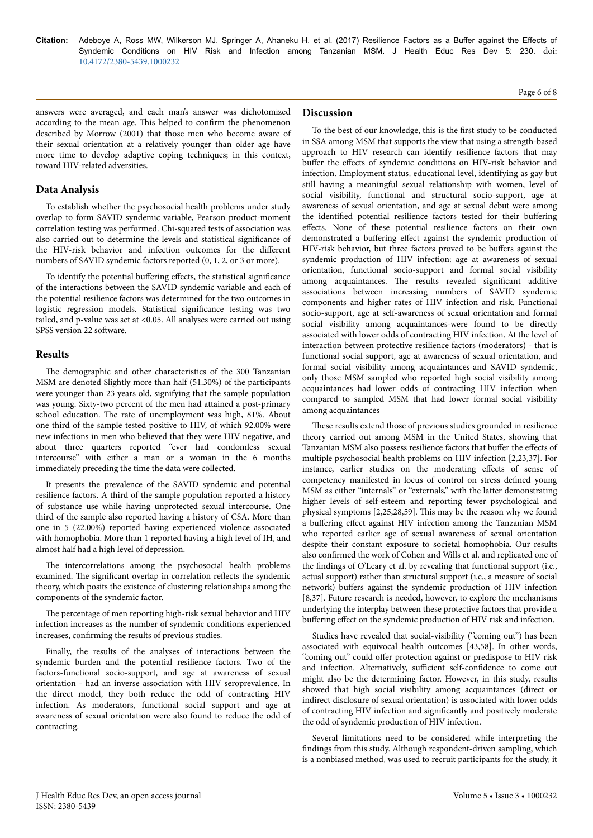Page 6 of 8

answers were averaged, and each man's answer was dichotomized according to the mean age. Нis helped to confirm the phenomenon described by Morrow (2001) that those men who become aware of their sexual orientation at a relatively younger than older age have more time to develop adaptive coping techniques; in this context, toward HIV-related adversities.

## **Data Analysis**

To establish whether the psychosocial health problems under study overlap to form SAVID syndemic variable, Pearson product-moment correlation testing was performed. Chi-squared tests of association was also carried out to determine the levels and statistical significance of the HIV-risk behavior and infection outcomes for the different numbers of SAVID syndemic factors reported (0, 1, 2, or 3 or more).

To identify the potential buffering effects, the statistical significance of the interactions between the SAVID syndemic variable and each of the potential resilience factors was determined for the two outcomes in logistic regression models. Statistical significance testing was two tailed, and p-value was set at <0.05. All analyses were carried out using SPSS version 22 software.

## **Results**

The demographic and other characteristics of the 300 Tanzanian MSM are denoted Slightly more than half (51.30%) of the participants were younger than 23 years old, signifying that the sample population was young. Sixty-two percent of the men had attained a post-primary school education. Нe rate of unemployment was high, 81%. About one third of the sample tested positive to HIV, of which 92.00% were new infections in men who believed that they were HIV negative, and about three quarters reported "ever had condomless sexual intercourse" with either a man or a woman in the 6 months immediately preceding the time the data were collected.

It presents the prevalence of the SAVID syndemic and potential resilience factors. A third of the sample population reported a history of substance use while having unprotected sexual intercourse. One third of the sample also reported having a history of CSA. More than one in 5 (22.00%) reported having experienced violence associated with homophobia. More than 1 reported having a high level of IH, and almost half had a high level of depression.

The intercorrelations among the psychosocial health problems examined. Нe significant overlap in correlation reflects the syndemic theory, which posits the existence of clustering relationships among the components of the syndemic factor.

The percentage of men reporting high-risk sexual behavior and HIV infection increases as the number of syndemic conditions experienced increases, confirming the results of previous studies.

Finally, the results of the analyses of interactions between the syndemic burden and the potential resilience factors. Two of the factors-functional socio-support, and age at awareness of sexual orientation - had an inverse association with HIV seroprevalence. In the direct model, they both reduce the odd of contracting HIV infection. As moderators, functional social support and age at awareness of sexual orientation were also found to reduce the odd of contracting.

## **Discussion**

To the best of our knowledge, this is the first study to be conducted in SSA among MSM that supports the view that using a strength-based approach to HIV research can identify resilience factors that may buffer the effects of syndemic conditions on HIV-risk behavior and infection. Employment status, educational level, identifying as gay but still having a meaningful sexual relationship with women, level of social visibility, functional and structural socio-support, age at awareness of sexual orientation, and age at sexual debut were among the identified potential resilience factors tested for their buffering effects. None of these potential resilience factors on their own demonstrated a buffering effect against the syndemic production of HIV-risk behavior, but three factors proved to be buffers against the syndemic production of HIV infection: age at awareness of sexual orientation, functional socio-support and formal social visibility among acquaintances. Нe results revealed significant additive associations between increasing numbers of SAVID syndemic components and higher rates of HIV infection and risk. Functional socio-support, age at self-awareness of sexual orientation and formal social visibility among acquaintances-were found to be directly associated with lower odds of contracting HIV infection. At the level of interaction between protective resilience factors (moderators) - that is functional social support, age at awareness of sexual orientation, and formal social visibility among acquaintances-and SAVID syndemic, only those MSM sampled who reported high social visibility among acquaintances had lower odds of contracting HIV infection when compared to sampled MSM that had lower formal social visibility among acquaintances

These results extend those of previous studies grounded in resilience theory carried out among MSM in the United States, showing that Tanzanian MSM also possess resilience factors that buffer the effects of multiple psychosocial health problems on HIV infection [2,23,37]. For instance, earlier studies on the moderating effects of sense of competency manifested in locus of control on stress defined young MSM as either "internals" or "externals," with the latter demonstrating higher levels of self-esteem and reporting fewer psychological and physical symptoms [2,25,28,59]. Нis may be the reason why we found a buffering effect against HIV infection among the Tanzanian MSM who reported earlier age of sexual awareness of sexual orientation despite their constant exposure to societal homophobia. Our results also confirmed the work of Cohen and Wills et al. and replicated one of the findings of O'Leary et al. by revealing that functional support (i.e., actual support) rather than structural support (i.e., a measure of social network) buffers against the syndemic production of HIV infection [8,37]. Future research is needed, however, to explore the mechanisms underlying the interplay between these protective factors that provide a buffering effect on the syndemic production of HIV risk and infection.

Studies have revealed that social-visibility ("coming out") has been associated with equivocal health outcomes [43,58]. In other words, "coming out" could offer protection against or predispose to HIV risk and infection. Alternatively, sufficient self-confidence to come out might also be the determining factor. However, in this study, results showed that high social visibility among acquaintances (direct or indirect disclosure of sexual orientation) is associated with lower odds of contracting HIV infection and significantly and positively moderate the odd of syndemic production of HIV infection.

Several limitations need to be considered while interpreting the findings from this study. Although respondent-driven sampling, which is a nonbiased method, was used to recruit participants for the study, it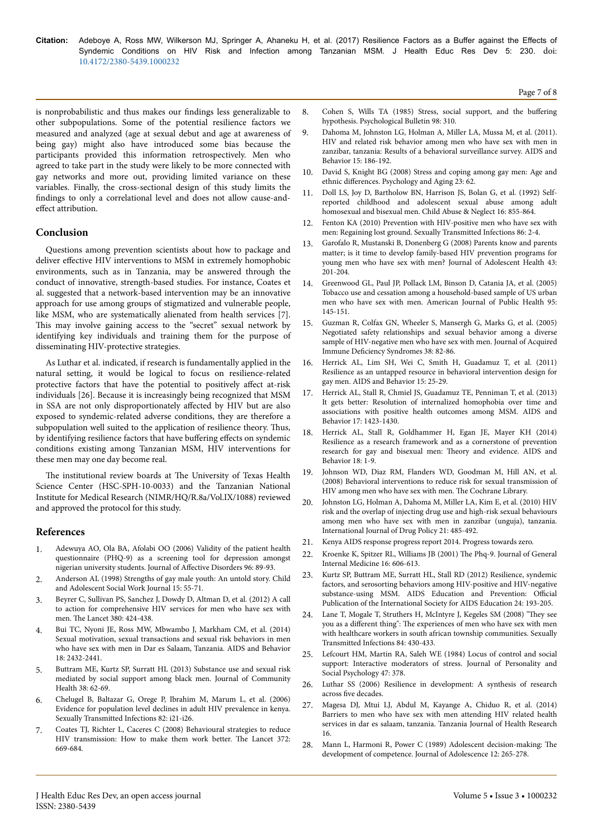is nonprobabilistic and thus makes our findings less generalizable to other subpopulations. Some of the potential resilience factors we measured and analyzed (age at sexual debut and age at awareness of being gay) might also have introduced some bias because the participants provided this information retrospectively. Men who agreed to take part in the study were likely to be more connected with gay networks and more out, providing limited variance on these variables. Finally, the cross-sectional design of this study limits the findings to only a correlational level and does not allow cause-andeffect attribution.

#### **Conclusion**

Questions among prevention scientists about how to package and deliver effective HIV interventions to MSM in extremely homophobic environments, such as in Tanzania, may be answered through the conduct of innovative, strength-based studies. For instance, Coates et al. suggested that a network-based intervention may be an innovative approach for use among groups of stigmatized and vulnerable people, like MSM, who are systematically alienated from health services [7]. This may involve gaining access to the "secret" sexual network by identifying key individuals and training them for the purpose of disseminating HIV-protective strategies.

As Luthar et al. indicated, if research is fundamentally applied in the natural setting, it would be logical to focus on resilience-related protective factors that have the potential to positively affect at-risk individuals [26]. Because it is increasingly being recognized that MSM in SSA are not only disproportionately affected by HIV but are also exposed to syndemic-related adverse conditions, they are therefore a subpopulation well suited to the application of resilience theory. Нus, by identifying resilience factors that have buffering effects on syndemic conditions existing among Tanzanian MSM, HIV interventions for these men may one day become real.

The institutional review boards at The University of Texas Health Science Center (HSC-SPH-10-0033) and the Tanzanian National Institute for Medical Research (NIMR/HQ/R.8a/Vol.IX/1088) reviewed and approved the protocol for this study.

#### **References**

- 1. [Adewuya AO, Ola BA, Afolabi OO \(2006\) Validity of the patient health](https://doi.org/10.1016/j.jad.2006.05.021) [questionnaire \(PHQ-9\) as a screening tool for depression amongst](https://doi.org/10.1016/j.jad.2006.05.021) [nigerian university students. Journal of](https://doi.org/10.1016/j.jad.2006.05.021) Affective Disorders 96: 89-93.
- 2. [Anderson AL \(1998\) Strengths of gay male youth: An untold story. Child](https://link.springer.com/article/10.1023/A:1022245504871) [and Adolescent Social Work Journal 15: 55-71.](https://link.springer.com/article/10.1023/A:1022245504871)
- 3. [Beyrer C, Sullivan PS, Sanchez J, Dowdy D, Altman D, et al. \(2012\) A call](https://doi.org/10.1016/S0140-6736(12)61022-8) [to action for comprehensive HIV services for men who have sex with](https://doi.org/10.1016/S0140-6736(12)61022-8) men. The [Lancet 380: 424-438.](https://doi.org/10.1016/S0140-6736(12)61022-8)
- 4. [Bui TC, Nyoni JE, Ross MW, Mbwambo J, Markham CM, et al. \(2014\)](https://doi.org/10.1007/s10461-014-0808-x) [Sexual motivation, sexual transactions and sexual risk behaviors in men](https://doi.org/10.1007/s10461-014-0808-x) [who have sex with men in Dar es Salaam, Tanzania. AIDS and Behavior](https://doi.org/10.1007/s10461-014-0808-x) [18: 2432-2441.](https://doi.org/10.1007/s10461-014-0808-x)
- 5. [Buttram ME, Kurtz SP, Surratt HL \(2013\) Substance use and sexual risk](https://doi.org/10.1007/s10900-012-9582-8) [mediated by social support among black men. Journal of Community](https://doi.org/10.1007/s10900-012-9582-8) [Health 38: 62-69.](https://doi.org/10.1007/s10900-012-9582-8)
- 6. [Chelugel B, Baltazar G, Orege P, Ibrahim M, Marum L, et al. \(2006\)](https://dx.doi.org/10.1136%2Fsti.2005.015990) [Evidence for population level declines in adult HIV prevalence in kenya.](https://dx.doi.org/10.1136%2Fsti.2005.015990) [Sexually Transmitted Infections 82: i21-i26.](https://dx.doi.org/10.1136%2Fsti.2005.015990)
- 7. [Coates TJ, Richter L, Caceres C \(2008\) Behavioural strategies to reduce](https://doi.org/10.1016/S0140-6736(08)60886-7) [HIV transmission: How to make them work better.](https://doi.org/10.1016/S0140-6736(08)60886-7) The Lancet 372: [669-684.](https://doi.org/10.1016/S0140-6736(08)60886-7)
- 8. [Cohen S, Wills TA \(1985\) Stress, social support, and the](http://www.psy.cmu.edu/~scohen/Cohen%20&%20Wills%201985%20Psy%20Bull.pdf) buffering [hypothesis. Psychological Bulletin 98: 310.](http://www.psy.cmu.edu/~scohen/Cohen%20&%20Wills%201985%20Psy%20Bull.pdf)
- 9. [Dahoma M, Johnston LG, Holman A, Miller LA, Mussa M, et al. \(2011\).](https://doi.org/10.1007/s10461-009-9646-7) [HIV and related risk behavior among men who have sex with men in](https://doi.org/10.1007/s10461-009-9646-7) [zanzibar, tanzania: Results of a behavioral surveillance survey. AIDS and](https://doi.org/10.1007/s10461-009-9646-7) [Behavior 15: 186-192.](https://doi.org/10.1007/s10461-009-9646-7)
- 10. [David S, Knight BG \(2008\) Stress and coping among gay men: Age and](https://doi.org/10.1037/0882-7974.23.1.62) ethnic differences. [Psychology and Aging 23: 62.](https://doi.org/10.1037/0882-7974.23.1.62)
- 11. [Doll LS, Joy D, Bartholow BN, Harrison JS, Bolan G, et al. \(1992\) Self](http://www.sciencedirect.com/science/article/pii/0145213492900878)[reported childhood and adolescent sexual abuse among adult](http://www.sciencedirect.com/science/article/pii/0145213492900878) [homosexual and bisexual men. Child Abuse & Neglect 16: 855-864.](http://www.sciencedirect.com/science/article/pii/0145213492900878)
- 12. [Fenton KA \(2010\) Prevention with HIV-positive men who have sex with](https://doi.org/10.1136/sti.2009.038935) [men: Regaining lost ground. Sexually Transmitted Infections 86: 2-4.](https://doi.org/10.1136/sti.2009.038935)
- 13. [Garofalo R, Mustanski B, Donenberg G \(2008\) Parents know and parents](https://doi.org/10.1016/j.jadohealth.2008.01.017) [matter; is it time to develop family-based HIV prevention programs for](https://doi.org/10.1016/j.jadohealth.2008.01.017) [young men who have sex with men? Journal of Adolescent Health 43:](https://doi.org/10.1016/j.jadohealth.2008.01.017) [201-204.](https://doi.org/10.1016/j.jadohealth.2008.01.017)
- 14. [Greenwood GL, Paul JP, Pollack LM, Binson D, Catania JA, et al. \(2005\)](https://doi.org/10.2105/AJPH.2003.021451) [Tobacco use and cessation among a household-based sample of US urban](https://doi.org/10.2105/AJPH.2003.021451) [men who have sex with men. American Journal of Public Health 95:](https://doi.org/10.2105/AJPH.2003.021451) [145-151.](https://doi.org/10.2105/AJPH.2003.021451)
- 15. [Guzman R, Colfax GN, Wheeler S, Mansergh G, Marks G, et al. \(2005\)](http://www.thebody.com/content/art25495.html) [Negotiated safety relationships and sexual behavior among a diverse](http://www.thebody.com/content/art25495.html) [sample of HIV-negative men who have sex with men. Journal of Acquired](http://www.thebody.com/content/art25495.html) Immune Deficiency [Syndromes 38: 82-86.](http://www.thebody.com/content/art25495.html)
- 16. [Herrick AL, Lim SH, Wei C, Smith H, Guadamuz T, et al. \(2011\)](https://doi.org/10.1007/s10461-011-9895-0) [Resilience as an untapped resource in behavioral intervention design for](https://doi.org/10.1007/s10461-011-9895-0) [gay men. AIDS and Behavior 15: 25-29.](https://doi.org/10.1007/s10461-011-9895-0)
- 17. [Herrick AL, Stall R, Chmiel JS, Guadamuz TE, Penniman T, et al. \(2013\)](https://doi.org/10.1007/s10461-012-0392-x) [It gets better: Resolution of internalized homophobia over time and](https://doi.org/10.1007/s10461-012-0392-x) [associations with positive health outcomes among MSM. AIDS and](https://doi.org/10.1007/s10461-012-0392-x) [Behavior 17: 1423-1430.](https://doi.org/10.1007/s10461-012-0392-x)
- 18. [Herrick AL, Stall R, Goldhammer H, Egan JE, Mayer KH \(2014\)](https://link.springer.com/article/10.1007/s10461-012-0384-x) [Resilience as a research framework and as a cornerstone of prevention](https://link.springer.com/article/10.1007/s10461-012-0384-x) [research for gay and bisexual men:](https://link.springer.com/article/10.1007/s10461-012-0384-x) Theory and evidence. AIDS and [Behavior 18: 1-9.](https://link.springer.com/article/10.1007/s10461-012-0384-x)
- 19. [Johnson WD, Diaz RM, Flanders WD, Goodman M, Hill AN, et al.](https://doi.org/10.1002/14651858.CD001230.pub2) [\(2008\) Behavioral interventions to reduce risk for sexual transmission of](https://doi.org/10.1002/14651858.CD001230.pub2) [HIV among men who have sex with men.](https://doi.org/10.1002/14651858.CD001230.pub2) Нe Cochrane Library.
- 20. [Johnston LG, Holman A, Dahoma M, Miller LA, Kim E, et al. \(2010\) HIV](https://doi.org/10.1016/j.drugpo.2010.06.001) [risk and the overlap of injecting drug use and high-risk sexual behaviours](https://doi.org/10.1016/j.drugpo.2010.06.001) [among men who have sex with men in zanzibar \(unguja\), tanzania.](https://doi.org/10.1016/j.drugpo.2010.06.001) [International Journal of Drug Policy 21: 485-492.](https://doi.org/10.1016/j.drugpo.2010.06.001)
- 21. [Kenya AIDS response progress report 2014. Progress towards zero.](http://www.unaids.org/sites/default/files/country/documents/KEN_narrative_report_2014.pdf)
- 22. [Kroenke K, Spitzer RL, Williams JB \(2001\)](https://dx.doi.org/10.1046%2Fj.1525-1497.2001.016009606.x) The Phq-9. Journal of General [Internal Medicine 16: 606-613.](https://dx.doi.org/10.1046%2Fj.1525-1497.2001.016009606.x)
- 23. [Kurtz SP, Buttram ME, Surratt HL, Stall RD \(2012\) Resilience, syndemic](https://dx.doi.org/10.1521%2Faeap.2012.24.3.193) [factors, and serosorting behaviors among HIV-positive and HIV-negative](https://dx.doi.org/10.1521%2Faeap.2012.24.3.193) [substance-using MSM. AIDS Education and Prevention:](https://dx.doi.org/10.1521%2Faeap.2012.24.3.193) Official [Publication of the International Society for AIDS Education 24: 193-205.](https://dx.doi.org/10.1521%2Faeap.2012.24.3.193)
- 24. [Lane T, Mogale T, Struthers H, McIntyre J, Kegeles SM \(2008\)](https://doi.org/10.1136/sti.2008.031567) "They see you as a different thing": The [experiences of men who have sex with men](https://doi.org/10.1136/sti.2008.031567) [with healthcare workers in south african township communities. Sexually](https://doi.org/10.1136/sti.2008.031567) [Transmitted Infections 84: 430-433.](https://doi.org/10.1136/sti.2008.031567)
- 25. [Lefcourt HM, Martin RA, Saleh WE \(1984\) Locus of control and social](https://www.researchgate.net/publication/232442073_Locus_of_Control_and_Social_Support_Interactive_Moderators_of_Stress) [support: Interactive moderators of stress. Journal of Personality and](https://www.researchgate.net/publication/232442073_Locus_of_Control_and_Social_Support_Interactive_Moderators_of_Stress) [Social Psychology 47: 378.](https://www.researchgate.net/publication/232442073_Locus_of_Control_and_Social_Support_Interactive_Moderators_of_Stress)
- 26. [Luthar SS \(2006\) Resilience in development: A synthesis of research](https://www.researchgate.net/publication/232578665_Resilience_in_Development_A_Synthesis_of_Research_across_Five_Decades) across five [decades.](https://www.researchgate.net/publication/232578665_Resilience_in_Development_A_Synthesis_of_Research_across_Five_Decades)
- 27. [Magesa DJ, Mtui LJ, Abdul M, Kayange A, Chiduo R, et al. \(2014\)](http://www.bioline.org.br/pdf?th14015) [Barriers to men who have sex with men attending HIV related health](http://www.bioline.org.br/pdf?th14015) [services in dar es salaam, tanzania. Tanzania Journal of Health Research](http://www.bioline.org.br/pdf?th14015) [16.](http://www.bioline.org.br/pdf?th14015)
- 28. [Mann L, Harmoni R, Power C \(1989\) Adolescent decision-making:](http://www.sciencedirect.com/science/article/pii/0140197189900778) Нe [development of competence. Journal of Adolescence 12: 265-278.](http://www.sciencedirect.com/science/article/pii/0140197189900778)